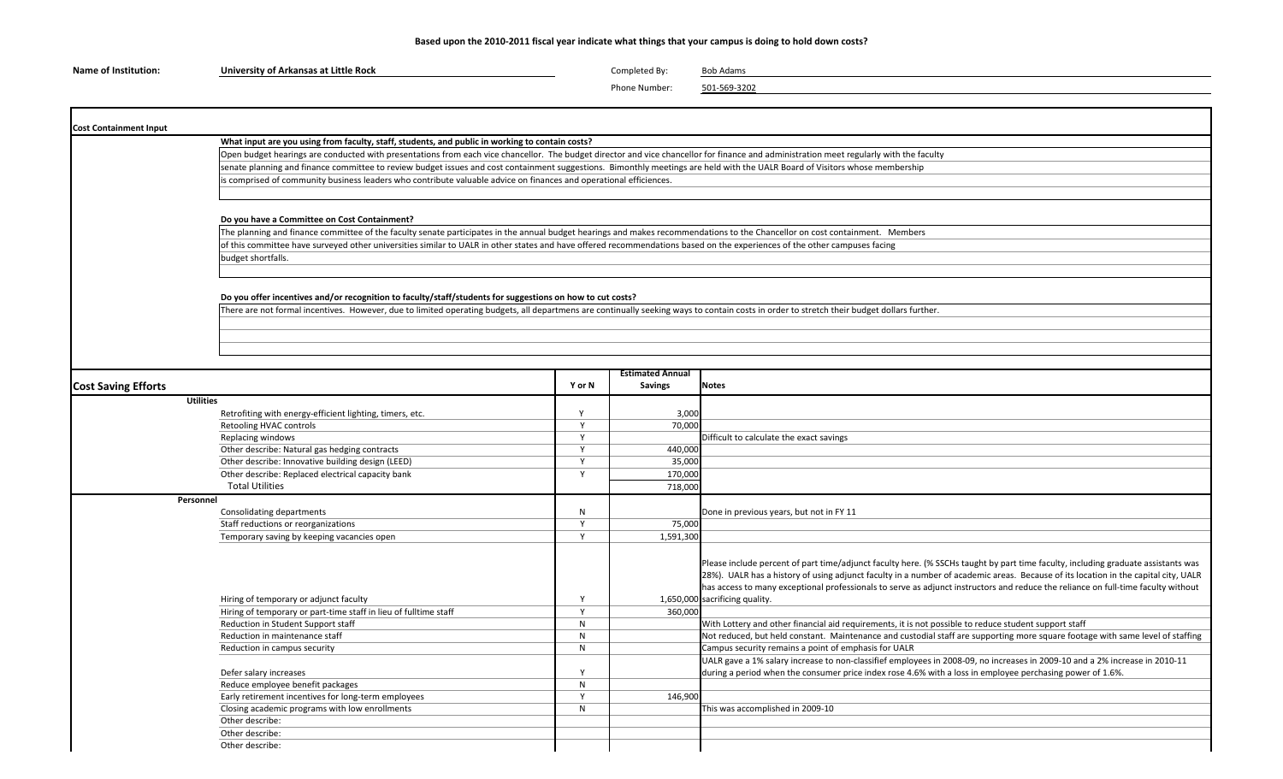## Based upon the 2010-2011 fiscal year indicate what things that your campus is doing to hold down costs?

| <b>Name of Institution:</b> | University of Arkansas at Little Rock | Completed By: | <b>Bob Adams</b> |
|-----------------------------|---------------------------------------|---------------|------------------|
|-----------------------------|---------------------------------------|---------------|------------------|

Phone Number: 501-569-3202

| <b>Cost Containment Input</b> |                                                                                                                                                                                                                                                                                                                                                           |                                                                                                                                                                                                                                                                                                         |                         |                                                                                                                                    |  |  |  |  |  |
|-------------------------------|-----------------------------------------------------------------------------------------------------------------------------------------------------------------------------------------------------------------------------------------------------------------------------------------------------------------------------------------------------------|---------------------------------------------------------------------------------------------------------------------------------------------------------------------------------------------------------------------------------------------------------------------------------------------------------|-------------------------|------------------------------------------------------------------------------------------------------------------------------------|--|--|--|--|--|
|                               | What input are you using from faculty, staff, students, and public in working to contain costs?                                                                                                                                                                                                                                                           |                                                                                                                                                                                                                                                                                                         |                         |                                                                                                                                    |  |  |  |  |  |
|                               |                                                                                                                                                                                                                                                                                                                                                           | Open budget hearings are conducted with presentations from each vice chancellor. The budget director and vice chancellor for finance and administration meet regularly with the faculty                                                                                                                 |                         |                                                                                                                                    |  |  |  |  |  |
|                               | senate planning and finance committee to review budget issues and cost containment suggestions. Bimonthly meetings are held with the UALR Board of Visitors whose membership                                                                                                                                                                              |                                                                                                                                                                                                                                                                                                         |                         |                                                                                                                                    |  |  |  |  |  |
|                               | is comprised of community business leaders who contribute valuable advice on finances and operational efficiences.                                                                                                                                                                                                                                        |                                                                                                                                                                                                                                                                                                         |                         |                                                                                                                                    |  |  |  |  |  |
|                               |                                                                                                                                                                                                                                                                                                                                                           |                                                                                                                                                                                                                                                                                                         |                         |                                                                                                                                    |  |  |  |  |  |
|                               |                                                                                                                                                                                                                                                                                                                                                           |                                                                                                                                                                                                                                                                                                         |                         |                                                                                                                                    |  |  |  |  |  |
|                               | Do you have a Committee on Cost Containment?                                                                                                                                                                                                                                                                                                              |                                                                                                                                                                                                                                                                                                         |                         |                                                                                                                                    |  |  |  |  |  |
|                               | The planning and finance committee of the faculty senate participates in the annual budget hearings and makes recommendations to the Chancellor on cost containment. Members<br>of this committee have surveyed other universities similar to UALR in other states and have offered recommendations based on the experiences of the other campuses facing |                                                                                                                                                                                                                                                                                                         |                         |                                                                                                                                    |  |  |  |  |  |
|                               |                                                                                                                                                                                                                                                                                                                                                           |                                                                                                                                                                                                                                                                                                         |                         |                                                                                                                                    |  |  |  |  |  |
|                               | budget shortfalls.                                                                                                                                                                                                                                                                                                                                        |                                                                                                                                                                                                                                                                                                         |                         |                                                                                                                                    |  |  |  |  |  |
|                               |                                                                                                                                                                                                                                                                                                                                                           |                                                                                                                                                                                                                                                                                                         |                         |                                                                                                                                    |  |  |  |  |  |
|                               |                                                                                                                                                                                                                                                                                                                                                           |                                                                                                                                                                                                                                                                                                         |                         |                                                                                                                                    |  |  |  |  |  |
|                               |                                                                                                                                                                                                                                                                                                                                                           |                                                                                                                                                                                                                                                                                                         |                         |                                                                                                                                    |  |  |  |  |  |
|                               |                                                                                                                                                                                                                                                                                                                                                           | Do you offer incentives and/or recognition to faculty/staff/students for suggestions on how to cut costs?<br>There are not formal incentives. However, due to limited operating budgets, all departmens are continually seeking ways to contain costs in order to stretch their budget dollars further. |                         |                                                                                                                                    |  |  |  |  |  |
|                               |                                                                                                                                                                                                                                                                                                                                                           |                                                                                                                                                                                                                                                                                                         |                         |                                                                                                                                    |  |  |  |  |  |
|                               |                                                                                                                                                                                                                                                                                                                                                           |                                                                                                                                                                                                                                                                                                         |                         |                                                                                                                                    |  |  |  |  |  |
|                               |                                                                                                                                                                                                                                                                                                                                                           |                                                                                                                                                                                                                                                                                                         |                         |                                                                                                                                    |  |  |  |  |  |
|                               |                                                                                                                                                                                                                                                                                                                                                           |                                                                                                                                                                                                                                                                                                         |                         |                                                                                                                                    |  |  |  |  |  |
|                               |                                                                                                                                                                                                                                                                                                                                                           |                                                                                                                                                                                                                                                                                                         |                         |                                                                                                                                    |  |  |  |  |  |
|                               |                                                                                                                                                                                                                                                                                                                                                           |                                                                                                                                                                                                                                                                                                         | <b>Estimated Annual</b> |                                                                                                                                    |  |  |  |  |  |
| <b>Cost Saving Efforts</b>    |                                                                                                                                                                                                                                                                                                                                                           | Y or N                                                                                                                                                                                                                                                                                                  | <b>Savings</b>          | <b>Notes</b>                                                                                                                       |  |  |  |  |  |
|                               | <b>Utilities</b>                                                                                                                                                                                                                                                                                                                                          |                                                                                                                                                                                                                                                                                                         |                         |                                                                                                                                    |  |  |  |  |  |
|                               | Retrofiting with energy-efficient lighting, timers, etc.                                                                                                                                                                                                                                                                                                  | Y                                                                                                                                                                                                                                                                                                       | 3,000                   |                                                                                                                                    |  |  |  |  |  |
|                               | Retooling HVAC controls                                                                                                                                                                                                                                                                                                                                   | $\mathsf{v}$                                                                                                                                                                                                                                                                                            | 70,000                  |                                                                                                                                    |  |  |  |  |  |
|                               | Replacing windows                                                                                                                                                                                                                                                                                                                                         | Y                                                                                                                                                                                                                                                                                                       |                         | Difficult to calculate the exact savings                                                                                           |  |  |  |  |  |
|                               | Other describe: Natural gas hedging contracts                                                                                                                                                                                                                                                                                                             | $\mathsf{Y}$                                                                                                                                                                                                                                                                                            | 440,000                 |                                                                                                                                    |  |  |  |  |  |
|                               | Other describe: Innovative building design (LEED)                                                                                                                                                                                                                                                                                                         | Y                                                                                                                                                                                                                                                                                                       | 35,000                  |                                                                                                                                    |  |  |  |  |  |
|                               | Other describe: Replaced electrical capacity bank                                                                                                                                                                                                                                                                                                         | <b>V</b>                                                                                                                                                                                                                                                                                                | 170,000                 |                                                                                                                                    |  |  |  |  |  |
|                               | <b>Total Utilities</b>                                                                                                                                                                                                                                                                                                                                    |                                                                                                                                                                                                                                                                                                         | 718,000                 |                                                                                                                                    |  |  |  |  |  |
|                               | Personnel                                                                                                                                                                                                                                                                                                                                                 |                                                                                                                                                                                                                                                                                                         |                         |                                                                                                                                    |  |  |  |  |  |
|                               | Consolidating departments                                                                                                                                                                                                                                                                                                                                 | $\mathsf{N}$                                                                                                                                                                                                                                                                                            |                         | Done in previous years, but not in FY 11                                                                                           |  |  |  |  |  |
|                               | Staff reductions or reorganizations                                                                                                                                                                                                                                                                                                                       | Y                                                                                                                                                                                                                                                                                                       | 75,000                  |                                                                                                                                    |  |  |  |  |  |
|                               | Temporary saving by keeping vacancies open                                                                                                                                                                                                                                                                                                                | Y                                                                                                                                                                                                                                                                                                       | 1,591,300               |                                                                                                                                    |  |  |  |  |  |
|                               |                                                                                                                                                                                                                                                                                                                                                           |                                                                                                                                                                                                                                                                                                         |                         |                                                                                                                                    |  |  |  |  |  |
|                               |                                                                                                                                                                                                                                                                                                                                                           |                                                                                                                                                                                                                                                                                                         |                         | Please include percent of part time/adjunct faculty here. (% SSCHs taught by part time faculty, including graduate assistants was  |  |  |  |  |  |
|                               |                                                                                                                                                                                                                                                                                                                                                           |                                                                                                                                                                                                                                                                                                         |                         | 28%). UALR has a history of using adjunct faculty in a number of academic areas. Because of its location in the capital city, UALR |  |  |  |  |  |
|                               |                                                                                                                                                                                                                                                                                                                                                           |                                                                                                                                                                                                                                                                                                         |                         | has access to many exceptional professionals to serve as adjunct instructors and reduce the reliance on full-time faculty without  |  |  |  |  |  |
|                               | Hiring of temporary or adjunct faculty                                                                                                                                                                                                                                                                                                                    | Y                                                                                                                                                                                                                                                                                                       |                         | 1,650,000 sacrificing quality.                                                                                                     |  |  |  |  |  |
|                               | Hiring of temporary or part-time staff in lieu of fulltime staff                                                                                                                                                                                                                                                                                          | Y                                                                                                                                                                                                                                                                                                       | 360,000                 |                                                                                                                                    |  |  |  |  |  |
|                               | Reduction in Student Support staff                                                                                                                                                                                                                                                                                                                        | N                                                                                                                                                                                                                                                                                                       |                         | With Lottery and other financial aid requirements, it is not possible to reduce student support staff                              |  |  |  |  |  |
|                               | Reduction in maintenance staff                                                                                                                                                                                                                                                                                                                            | N                                                                                                                                                                                                                                                                                                       |                         | Not reduced, but held constant. Maintenance and custodial staff are supporting more square footage with same level of staffing     |  |  |  |  |  |
|                               | Reduction in campus security                                                                                                                                                                                                                                                                                                                              | N                                                                                                                                                                                                                                                                                                       |                         | Campus security remains a point of emphasis for UALR                                                                               |  |  |  |  |  |
|                               |                                                                                                                                                                                                                                                                                                                                                           |                                                                                                                                                                                                                                                                                                         |                         | UALR gave a 1% salary increase to non-classifief employees in 2008-09, no increases in 2009-10 and a 2% increase in 2010-11        |  |  |  |  |  |
|                               | Defer salary increases                                                                                                                                                                                                                                                                                                                                    | <sup>V</sup>                                                                                                                                                                                                                                                                                            |                         | during a period when the consumer price index rose 4.6% with a loss in employee perchasing power of 1.6%.                          |  |  |  |  |  |
|                               | Reduce employee benefit packages                                                                                                                                                                                                                                                                                                                          | N                                                                                                                                                                                                                                                                                                       |                         |                                                                                                                                    |  |  |  |  |  |
|                               | Early retirement incentives for long-term employees                                                                                                                                                                                                                                                                                                       | $\mathsf{Y}$                                                                                                                                                                                                                                                                                            | 146.900                 |                                                                                                                                    |  |  |  |  |  |
|                               |                                                                                                                                                                                                                                                                                                                                                           |                                                                                                                                                                                                                                                                                                         |                         |                                                                                                                                    |  |  |  |  |  |
|                               | Closing academic programs with low enrollments                                                                                                                                                                                                                                                                                                            | $\mathsf{N}$                                                                                                                                                                                                                                                                                            |                         | This was accomplished in 2009-10                                                                                                   |  |  |  |  |  |
|                               | Other describe:                                                                                                                                                                                                                                                                                                                                           |                                                                                                                                                                                                                                                                                                         |                         |                                                                                                                                    |  |  |  |  |  |
|                               | Other describe:                                                                                                                                                                                                                                                                                                                                           |                                                                                                                                                                                                                                                                                                         |                         |                                                                                                                                    |  |  |  |  |  |